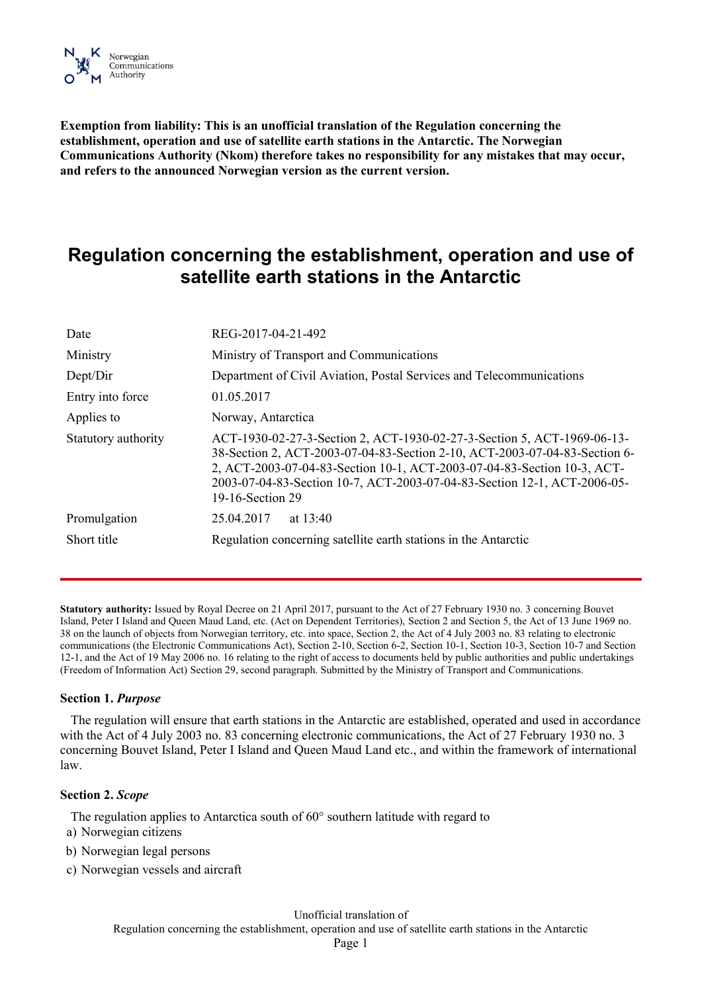

**Exemption from liability: This is an unofficial translation of the Regulation concerning the establishment, operation and use of satellite earth stations in the Antarctic. The Norwegian Communications Authority (Nkom) therefore takes no responsibility for any mistakes that may occur, and refers to the announced Norwegian version as the current version.**

# **Regulation concerning the establishment, operation and use of satellite earth stations in the Antarctic**

| Date                | REG-2017-04-21-492                                                                                                                                                                                                                                                                                                               |
|---------------------|----------------------------------------------------------------------------------------------------------------------------------------------------------------------------------------------------------------------------------------------------------------------------------------------------------------------------------|
| Ministry            | Ministry of Transport and Communications                                                                                                                                                                                                                                                                                         |
| Dept/Dir            | Department of Civil Aviation, Postal Services and Telecommunications                                                                                                                                                                                                                                                             |
| Entry into force    | 01.05.2017                                                                                                                                                                                                                                                                                                                       |
| Applies to          | Norway, Antarctica                                                                                                                                                                                                                                                                                                               |
| Statutory authority | ACT-1930-02-27-3-Section 2, ACT-1930-02-27-3-Section 5, ACT-1969-06-13-<br>38-Section 2, ACT-2003-07-04-83-Section 2-10, ACT-2003-07-04-83-Section 6-<br>2, ACT-2003-07-04-83-Section 10-1, ACT-2003-07-04-83-Section 10-3, ACT-<br>2003-07-04-83-Section 10-7, ACT-2003-07-04-83-Section 12-1, ACT-2006-05-<br>19-16-Section 29 |
| Promulgation        | 25.04.2017<br>at $13:40$                                                                                                                                                                                                                                                                                                         |
| Short title         | Regulation concerning satellite earth stations in the Antarctic                                                                                                                                                                                                                                                                  |
|                     |                                                                                                                                                                                                                                                                                                                                  |

**Statutory authority:** Issued by Royal Decree on 21 April 2017, pursuant to the [Act of 27 February 1930](http://www.lovdata.no/pro#reference/lov/1930-02-27-3) no. 3 concerning Bouvet Island, Peter I Island and Queen Maud Land, etc. (Act on Dependent Territories), [Section 2](http://www.lovdata.no/pro#reference/lov/1930-02-27-3/§2) an[d Section 5,](http://www.lovdata.no/pro#reference/lov/1930-02-27-3/§5) [the Act of 13 June 1969](http://www.lovdata.no/pro#reference/lov/1969-06-13-38) no. [38](http://www.lovdata.no/pro#reference/lov/1969-06-13-38) on the launch of objects from Norwegian territory, etc. int[o space, Section 2,](http://www.lovdata.no/pro#reference/lov/1969-06-13-38/§2) [the Act of 4 July 2003](http://www.lovdata.no/pro#reference/lov/2003-07-04-83) no. 83 relating to electronic communications (the Electronic Communications Act)[, Section 2-10,](http://www.lovdata.no/pro#reference/lov/2003-07-04-83/§2-10) [Section 6-2,](http://www.lovdata.no/pro#reference/lov/2003-07-04-83/§6-2) [Section 10-1,](http://www.lovdata.no/pro#reference/lov/2003-07-04-83/§10-1) [Section 10-3,](http://www.lovdata.no/pro#reference/lov/2003-07-04-83/§10-3) [Section 10-7](http://www.lovdata.no/pro#reference/lov/2003-07-04-83/§10-7) an[d Section](http://www.lovdata.no/pro#reference/lov/2003-07-04-83/§12-1)  [12-1,](http://www.lovdata.no/pro#reference/lov/2003-07-04-83/§12-1) an[d the Act of 19 May 2006](http://www.lovdata.no/pro#reference/lov/2006-05-19-16) no. 16 relating to the right of access to documents held by public authorities and public undertakings (Freedom of Information Act) [Section 29,](http://www.lovdata.no/pro#reference/lov/2006-05-19-16/§29) second paragraph. Submitted by the Ministry of Transport and Communications.

# **Section 1.** *Purpose*

The regulation will ensure that earth stations in the Antarctic are established, operated and used in accordance with [the Act of 4 July 2003](http://www.lovdata.no/pro#reference/lov/2003-07-04-83) no. 83 concerning electronic communications, [the Act of 27 February 1930 no. 3](http://www.lovdata.no/pro#reference/lov/1930-02-27-3) concerning Bouvet Island, Peter I Island and Queen Maud Land etc., and within the framework of international law.

#### **Section 2.** *Scope*

The regulation applies to Antarctica south of 60° southern latitude with regard to

- a) Norwegian citizens
- b) Norwegian legal persons
- c) Norwegian vessels and aircraft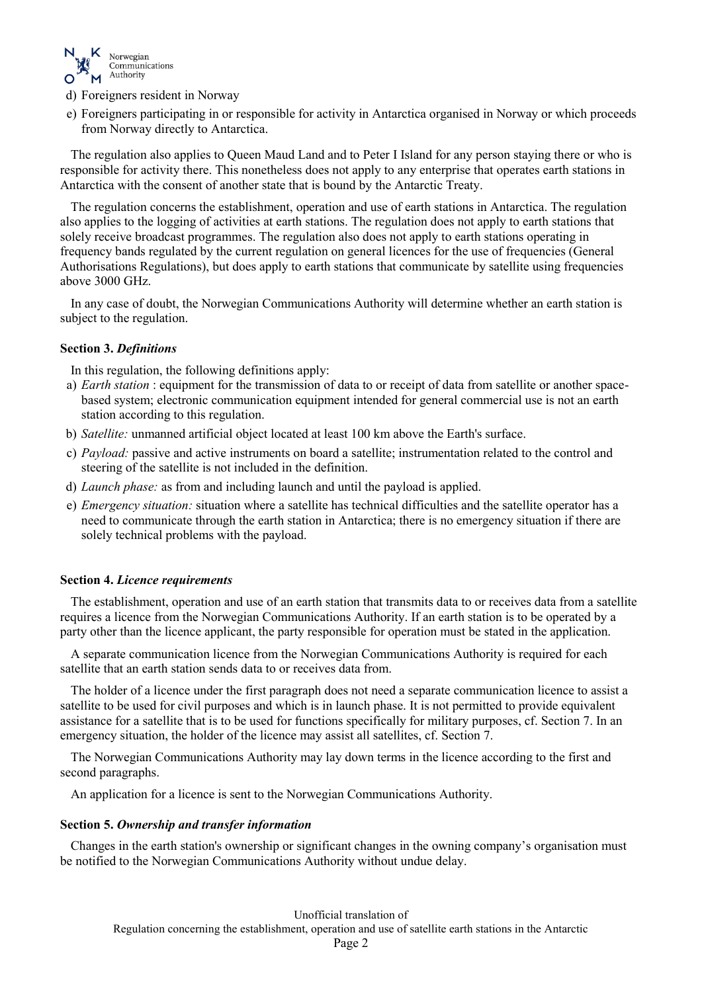

- d) Foreigners resident in Norway
- e) Foreigners participating in or responsible for activity in Antarctica organised in Norway or which proceeds from Norway directly to Antarctica.

The regulation also applies to Queen Maud Land and to Peter I Island for any person staying there or who is responsible for activity there. This nonetheless does not apply to any enterprise that operates earth stations in Antarctica with the consent of another state that is bound by the [Antarctic Treaty.](http://www.lovdata.no/pro#reference/traktat/1959-12-01-1)

The regulation concerns the establishment, operation and use of earth stations in Antarctica. The regulation also applies to the logging of activities at earth stations. The regulation does not apply to earth stations that solely receive broadcast programmes. The regulation also does not apply to earth stations operating in frequency bands regulated by the current regulation on general licences for the use of frequencies (General Authorisations Regulations), but does apply to earth stations that communicate by satellite using frequencies above 3000 GHz.

In any case of doubt, the Norwegian Communications Authority will determine whether an earth station is subject to the regulation.

# **Section 3.** *Definitions*

In this regulation, the following definitions apply:

- a) *Earth station* : equipment for the transmission of data to or receipt of data from satellite or another spacebased system; electronic communication equipment intended for general commercial use is not an earth station according to this regulation.
- b) *Satellite:* unmanned artificial object located at least 100 km above the Earth's surface.
- c) *Payload:* passive and active instruments on board a satellite; instrumentation related to the control and steering of the satellite is not included in the definition.
- d) *Launch phase:* as from and including launch and until the payload is applied.
- e) *Emergency situation:* situation where a satellite has technical difficulties and the satellite operator has a need to communicate through the earth station in Antarctica; there is no emergency situation if there are solely technical problems with the payload.

# **Section 4.** *Licence requirements*

The establishment, operation and use of an earth station that transmits data to or receives data from a satellite requires a licence from the Norwegian Communications Authority. If an earth station is to be operated by a party other than the licence applicant, the party responsible for operation must be stated in the application.

A separate communication licence from the Norwegian Communications Authority is required for each satellite that an earth station sends data to or receives data from.

The holder of a licence under the first paragraph does not need a separate communication licence to assist a satellite to be used for civil purposes and which is in launch phase. It is not permitted to provide equivalent assistance for a satellite that is to be used for functions specifically for military purposes, cf. Section 7. In an emergency situation, the holder of the licence may assist all satellites, cf. Section 7.

The Norwegian Communications Authority may lay down terms in the licence according to the first and second paragraphs.

An application for a licence is sent to the Norwegian Communications Authority.

# **Section 5.** *Ownership and transfer information*

Changes in the earth station's ownership or significant changes in the owning company's organisation must be notified to the Norwegian Communications Authority without undue delay.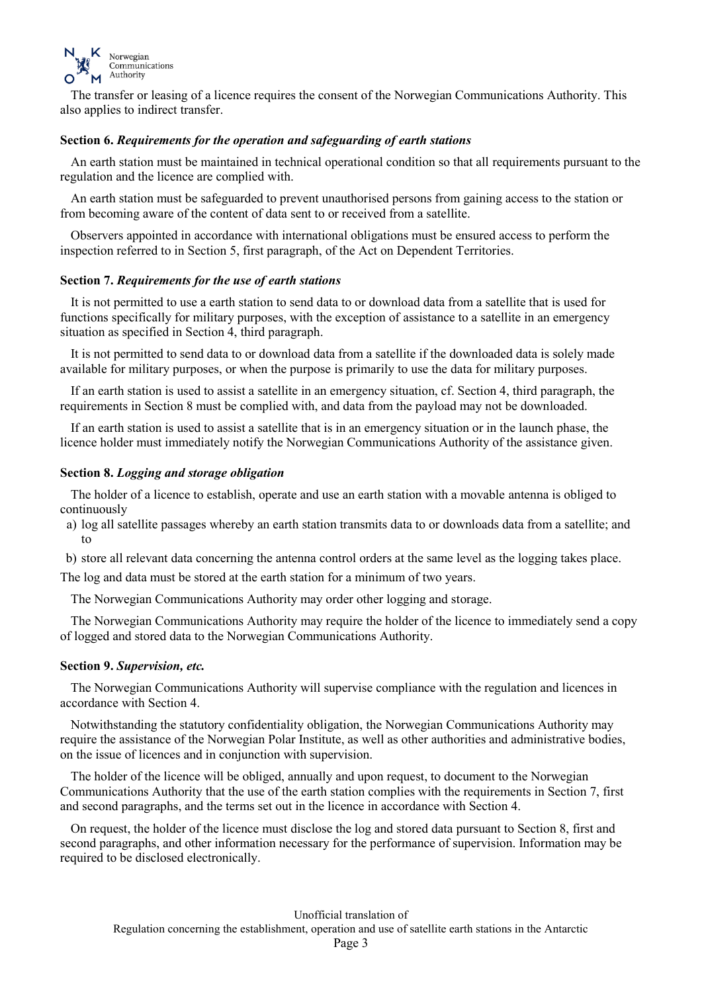

The transfer or leasing of a licence requires the consent of the Norwegian Communications Authority. This also applies to indirect transfer.

# **Section 6.** *Requirements for the operation and safeguarding of earth stations*

An earth station must be maintained in technical operational condition so that all requirements pursuant to the regulation and the licence are complied with.

An earth station must be safeguarded to prevent unauthorised persons from gaining access to the station or from becoming aware of the content of data sent to or received from a satellite.

Observers appointed in accordance with international obligations must be ensured access to perform the inspection referred to in [Section 5, first paragraph,](http://www.lovdata.no/pro#reference/lov/1930-02-27-3/§5) of the Act on Dependent Territories.

# **Section 7.** *Requirements for the use of earth stations*

It is not permitted to use a earth station to send data to or download data from a satellite that is used for functions specifically for military purposes, with the exception of assistance to a satellite in an emergency situation as specified in Section 4, third paragraph.

It is not permitted to send data to or download data from a satellite if the downloaded data is solely made available for military purposes, or when the purpose is primarily to use the data for military purposes.

If an earth station is used to assist a satellite in an emergency situation, cf. Section 4, third paragraph, the requirements in Section 8 must be complied with, and data from the payload may not be downloaded.

If an earth station is used to assist a satellite that is in an emergency situation or in the launch phase, the licence holder must immediately notify the Norwegian Communications Authority of the assistance given.

## **Section 8.** *Logging and storage obligation*

The holder of a licence to establish, operate and use an earth station with a movable antenna is obliged to continuously

a) log all satellite passages whereby an earth station transmits data to or downloads data from a satellite; and to

b) store all relevant data concerning the antenna control orders at the same level as the logging takes place.

The log and data must be stored at the earth station for a minimum of two years.

The Norwegian Communications Authority may order other logging and storage.

The Norwegian Communications Authority may require the holder of the licence to immediately send a copy of logged and stored data to the Norwegian Communications Authority.

#### **Section 9.** *Supervision, etc.*

The Norwegian Communications Authority will supervise compliance with the regulation and licences in accordance with [Section 4.](http://www.lovdata.no/pro#reference/forskrift/2017-04-21-492/§4)

Notwithstanding the statutory confidentiality obligation, the Norwegian Communications Authority may require the assistance of the Norwegian Polar Institute, as well as other authorities and administrative bodies, on the issue of licences and in conjunction with supervision.

The holder of the licence will be obliged, annually and upon request, to document to the Norwegian Communications Authority that the use of the earth station complies with the requirements in Section 7, first and second paragraphs, and the terms set out in the licence in accordance with Section 4.

On request, the holder of the licence must disclose the log and stored data pursuant to Section 8, first and second paragraphs, and other information necessary for the performance of supervision. Information may be required to be disclosed electronically.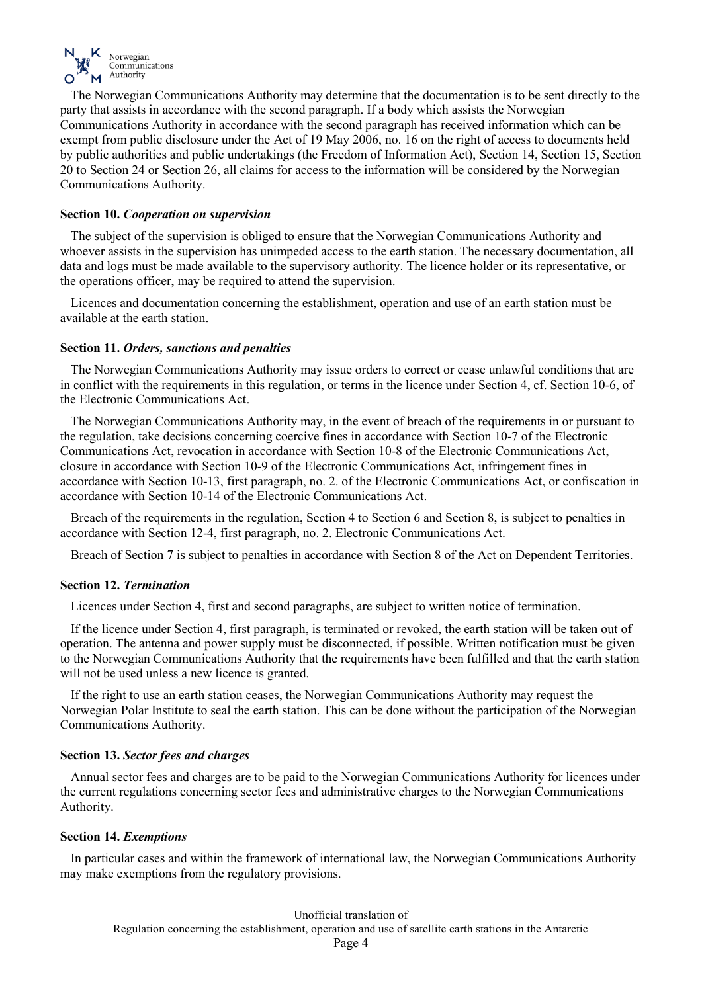

The Norwegian Communications Authority may determine that the documentation is to be sent directly to the party that assists in accordance with the second paragraph. If a body which assists the Norwegian Communications Authority in accordance with the second paragraph has received information which can be exempt from public disclosure under the [Act of 19 May 2006, no. 16](http://www.lovdata.no/pro#reference/lov/2006-05-19-16) on the right of access to documents held by public authorities and public undertakings (the Freedom of Information Act), [Section 14,](http://www.lovdata.no/pro#reference/lov/2006-05-19-16/§14) [Section 15,](http://www.lovdata.no/pro#reference/lov/2006-05-19-16/§15) [Section](http://www.lovdata.no/pro#reference/lov/2006-05-19-16/§20)  [20](http://www.lovdata.no/pro#reference/lov/2006-05-19-16/§20) to [Section 24](http://www.lovdata.no/pro#reference/lov/2006-05-19-16/§24) or [Section 26,](http://www.lovdata.no/pro#reference/lov/2006-05-19-16/§26) all claims for access to the information will be considered by the Norwegian Communications Authority.

# **Section 10.** *Cooperation on supervision*

The subject of the supervision is obliged to ensure that the Norwegian Communications Authority and whoever assists in the supervision has unimpeded access to the earth station. The necessary documentation, all data and logs must be made available to the supervisory authority. The licence holder or its representative, or the operations officer, may be required to attend the supervision.

Licences and documentation concerning the establishment, operation and use of an earth station must be available at the earth station.

## **Section 11.** *Orders, sanctions and penalties*

The Norwegian Communications Authority may issue orders to correct or cease unlawful conditions that are in conflict with the requirements in this regulation, or terms in the licence unde[r Section](http://www.lovdata.no/pro#reference/forskrift/2017-04-21-492/§4) 4, cf[. Section 10-6, of](http://www.lovdata.no/pro#reference/lov/2003-07-04-83/§10-6)  [the Electronic Communications Act.](http://www.lovdata.no/pro#reference/lov/2003-07-04-83/§10-6)

The Norwegian Communications Authority may, in the event of breach of the requirements in or pursuant to the regulation, take decisions concerning coercive fines in accordance with [Section 10-7 of the Electronic](http://www.lovdata.no/pro#reference/lov/2003-07-04-83/§10-7)  [Communications Act,](http://www.lovdata.no/pro#reference/lov/2003-07-04-83/§10-7) revocation in accordance with [Section 10-8 of the Electronic Communications Act,](http://www.lovdata.no/pro#reference/lov/2003-07-04-83/§10-8) closure in accordance with [Section 10-9 of the Electronic Communications Act,](http://www.lovdata.no/pro#reference/lov/2003-07-04-83/§10-9) infringement fines in accordance with [Section 10-13, first paragraph, no. 2. of the Electronic Communications Act,](http://www.lovdata.no/pro#reference/lov/2003-07-04-83/§10-13) or confiscation in accordance with [Section 10-14 of the Electronic Communications Act.](http://www.lovdata.no/pro#reference/lov/2003-07-04-83/§10-14)

Breach of the requirements in the regulation, [Section 4](http://www.lovdata.no/pro#reference/forskrift/2017-04-21-492/§4) to [Section 6](http://www.lovdata.no/pro#reference/forskrift/2017-04-21-492/§6) an[d Section 8,](http://www.lovdata.no/pro#reference/forskrift/2017-04-21-492/§8) is subject to penalties in accordance with [Section 12-4,](http://www.lovdata.no/pro#reference/lov/2003-07-04-83/§12-4) first paragraph, no. 2. Electronic Communications Act.

Breach of Section 7 is subject to penalties in accordance with [Section 8 of the Act on Dependent Territories.](http://www.lovdata.no/pro#reference/lov/1930-02-27-3/§8)

# **Section 12.** *Termination*

Licences under Section 4, first and second paragraphs, are subject to written notice of termination.

If the licence under Section 4, first paragraph, is terminated or revoked, the earth station will be taken out of operation. The antenna and power supply must be disconnected, if possible. Written notification must be given to the Norwegian Communications Authority that the requirements have been fulfilled and that the earth station will not be used unless a new licence is granted.

If the right to use an earth station ceases, the Norwegian Communications Authority may request the Norwegian Polar Institute to seal the earth station. This can be done without the participation of the Norwegian Communications Authority.

# **Section 13.** *Sector fees and charges*

Annual sector fees and charges are to be paid to the Norwegian Communications Authority for licences under the current regulations concerning sector fees and administrative charges to the Norwegian Communications Authority.

#### **Section 14.** *Exemptions*

In particular cases and within the framework of international law, the Norwegian Communications Authority may make exemptions from the regulatory provisions.